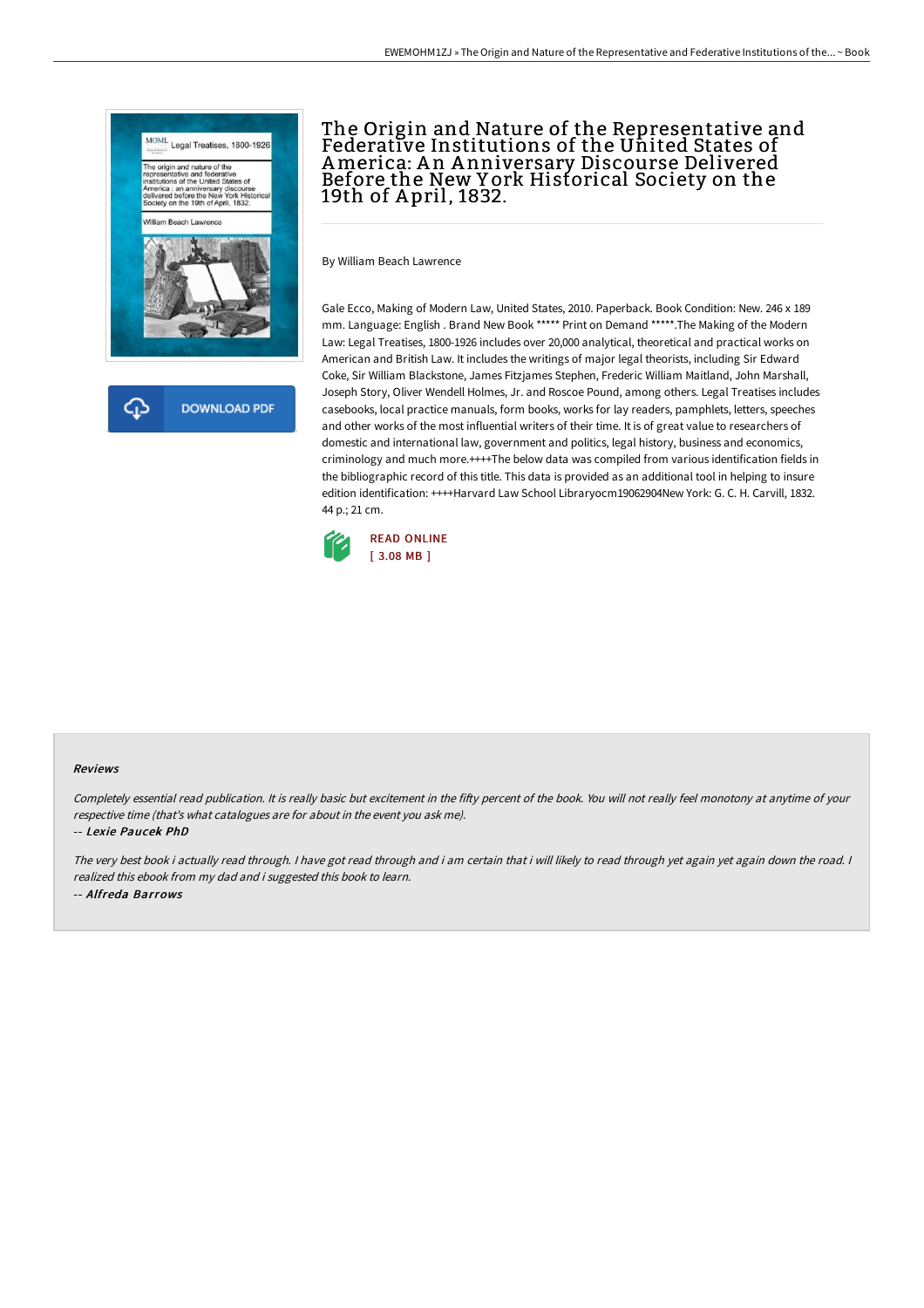

## The Origin and Nature of the Representative and Federative Institutions of the United States of America: An Anniversary Discourse Delivered Before the New Y ork Historical Society on the 19th of A pril, 1832.

By William Beach Lawrence

Gale Ecco, Making of Modern Law, United States, 2010. Paperback. Book Condition: New. 246 x 189 mm. Language: English . Brand New Book \*\*\*\*\* Print on Demand \*\*\*\*\*.The Making of the Modern Law: Legal Treatises, 1800-1926 includes over 20,000 analytical, theoretical and practical works on American and British Law. It includes the writings of major legal theorists, including Sir Edward Coke, Sir William Blackstone, James Fitzjames Stephen, Frederic William Maitland, John Marshall, Joseph Story, Oliver Wendell Holmes, Jr. and Roscoe Pound, among others. Legal Treatises includes casebooks, local practice manuals, form books, works for lay readers, pamphlets, letters, speeches and other works of the most influential writers of their time. It is of great value to researchers of domestic and international law, government and politics, legal history, business and economics, criminology and much more.++++The below data was compiled from various identification fields in the bibliographic record of this title. This data is provided as an additional tool in helping to insure edition identification: ++++Harvard Law School Libraryocm19062904New York: G. C. H. Carvill, 1832. 44 p.; 21 cm.



## Reviews

Completely essential read publication. It is really basic but excitement in the fifty percent of the book. You will not really feel monotony at anytime of your respective time (that's what catalogues are for about in the event you ask me).

-- Lexie Paucek PhD

The very best book i actually read through. I have got read through and i am certain that i will likely to read through yet again yet again down the road. I realized this ebook from my dad and i suggested this book to learn. -- Alfreda Barrows